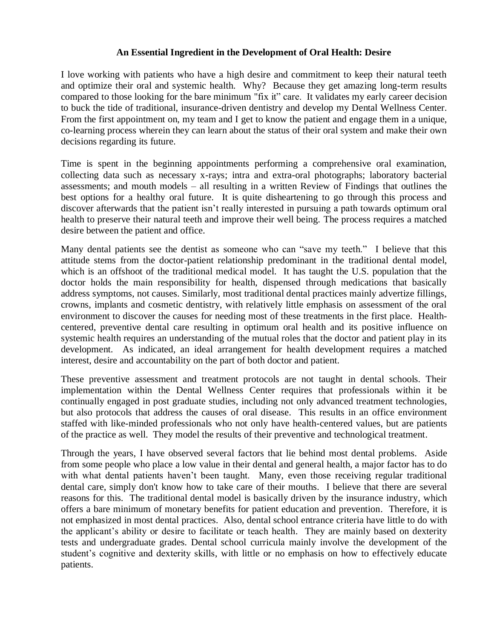## **An Essential Ingredient in the Development of Oral Health: Desire**

I love working with patients who have a high desire and commitment to keep their natural teeth and optimize their oral and systemic health. Why? Because they get amazing long-term results compared to those looking for the bare minimum "fix it" care. It validates my early career decision to buck the tide of traditional, insurance-driven dentistry and develop my Dental Wellness Center. From the first appointment on, my team and I get to know the patient and engage them in a unique, co-learning process wherein they can learn about the status of their oral system and make their own decisions regarding its future.

Time is spent in the beginning appointments performing a comprehensive oral examination, collecting data such as necessary x-rays; intra and extra-oral photographs; laboratory bacterial assessments; and mouth models – all resulting in a written Review of Findings that outlines the best options for a healthy oral future. It is quite disheartening to go through this process and discover afterwards that the patient isn't really interested in pursuing a path towards optimum oral health to preserve their natural teeth and improve their well being. The process requires a matched desire between the patient and office.

Many dental patients see the dentist as someone who can "save my teeth." I believe that this attitude stems from the doctor-patient relationship predominant in the traditional dental model, which is an offshoot of the traditional medical model. It has taught the U.S. population that the doctor holds the main responsibility for health, dispensed through medications that basically address symptoms, not causes. Similarly, most traditional dental practices mainly advertize fillings, crowns, implants and cosmetic dentistry, with relatively little emphasis on assessment of the oral environment to discover the causes for needing most of these treatments in the first place. Healthcentered, preventive dental care resulting in optimum oral health and its positive influence on systemic health requires an understanding of the mutual roles that the doctor and patient play in its development. As indicated, an ideal arrangement for health development requires a matched interest, desire and accountability on the part of both doctor and patient.

These preventive assessment and treatment protocols are not taught in dental schools. Their implementation within the Dental Wellness Center requires that professionals within it be continually engaged in post graduate studies, including not only advanced treatment technologies, but also protocols that address the causes of oral disease. This results in an office environment staffed with like-minded professionals who not only have health-centered values, but are patients of the practice as well. They model the results of their preventive and technological treatment.

Through the years, I have observed several factors that lie behind most dental problems. Aside from some people who place a low value in their dental and general health, a major factor has to do with what dental patients haven't been taught. Many, even those receiving regular traditional dental care, simply don't know how to take care of their mouths. I believe that there are several reasons for this. The traditional dental model is basically driven by the insurance industry, which offers a bare minimum of monetary benefits for patient education and prevention. Therefore, it is not emphasized in most dental practices. Also, dental school entrance criteria have little to do with the applicant's ability or desire to facilitate or teach health. They are mainly based on dexterity tests and undergraduate grades. Dental school curricula mainly involve the development of the student's cognitive and dexterity skills, with little or no emphasis on how to effectively educate patients.